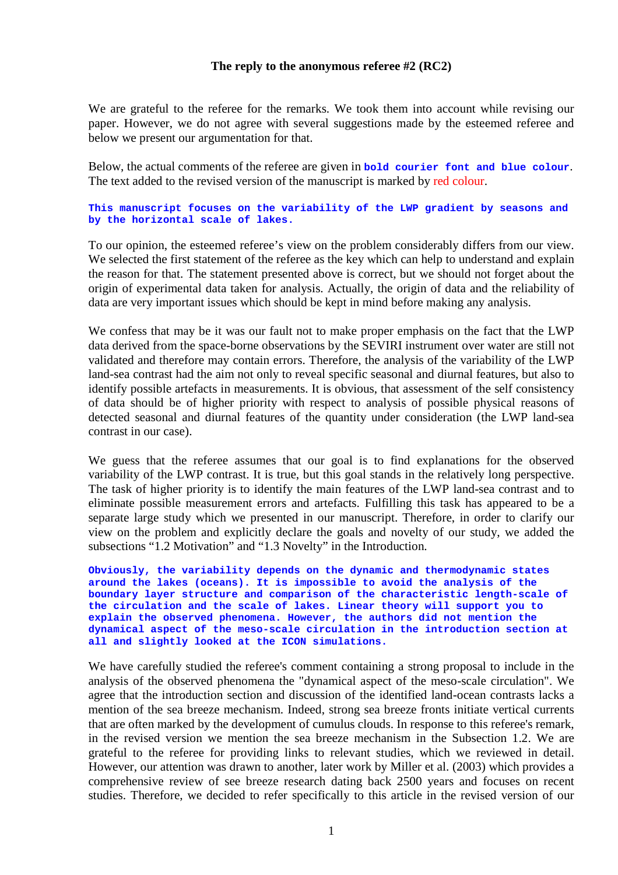# **The reply to the anonymous referee #2 (RC2)**

We are grateful to the referee for the remarks. We took them into account while revising our paper. However, we do not agree with several suggestions made by the esteemed referee and below we present our argumentation for that.

Below, the actual comments of the referee are given in **bold courier font and blue colour**. The text added to the revised version of the manuscript is marked by red colour.

## **This manuscript focuses on the variability of the LWP gradient by seasons and by the horizontal scale of lakes.**

To our opinion, the esteemed referee's view on the problem considerably differs from our view. We selected the first statement of the referee as the key which can help to understand and explain the reason for that. The statement presented above is correct, but we should not forget about the origin of experimental data taken for analysis. Actually, the origin of data and the reliability of data are very important issues which should be kept in mind before making any analysis.

We confess that may be it was our fault not to make proper emphasis on the fact that the LWP data derived from the space-borne observations by the SEVIRI instrument over water are still not validated and therefore may contain errors. Therefore, the analysis of the variability of the LWP land-sea contrast had the aim not only to reveal specific seasonal and diurnal features, but also to identify possible artefacts in measurements. It is obvious, that assessment of the self consistency of data should be of higher priority with respect to analysis of possible physical reasons of detected seasonal and diurnal features of the quantity under consideration (the LWP land-sea contrast in our case).

We guess that the referee assumes that our goal is to find explanations for the observed variability of the LWP contrast. It is true, but this goal stands in the relatively long perspective. The task of higher priority is to identify the main features of the LWP land-sea contrast and to eliminate possible measurement errors and artefacts. Fulfilling this task has appeared to be a separate large study which we presented in our manuscript. Therefore, in order to clarify our view on the problem and explicitly declare the goals and novelty of our study, we added the subsections "1.2 Motivation" and "1.3 Novelty" in the Introduction.

**Obviously, the variability depends on the dynamic and thermodynamic states around the lakes (oceans). It is impossible to avoid the analysis of the boundary layer structure and comparison of the characteristic length-scale of the circulation and the scale of lakes. Linear theory will support you to explain the observed phenomena. However, the authors did not mention the dynamical aspect of the meso-scale circulation in the introduction section at all and slightly looked at the ICON simulations.** 

We have carefully studied the referee's comment containing a strong proposal to include in the analysis of the observed phenomena the "dynamical aspect of the meso-scale circulation". We agree that the introduction section and discussion of the identified land-ocean contrasts lacks a mention of the sea breeze mechanism. Indeed, strong sea breeze fronts initiate vertical currents that are often marked by the development of cumulus clouds. In response to this referee's remark, in the revised version we mention the sea breeze mechanism in the Subsection 1.2. We are grateful to the referee for providing links to relevant studies, which we reviewed in detail. However, our attention was drawn to another, later work by Miller et al. (2003) which provides a comprehensive review of see breeze research dating back 2500 years and focuses on recent studies. Therefore, we decided to refer specifically to this article in the revised version of our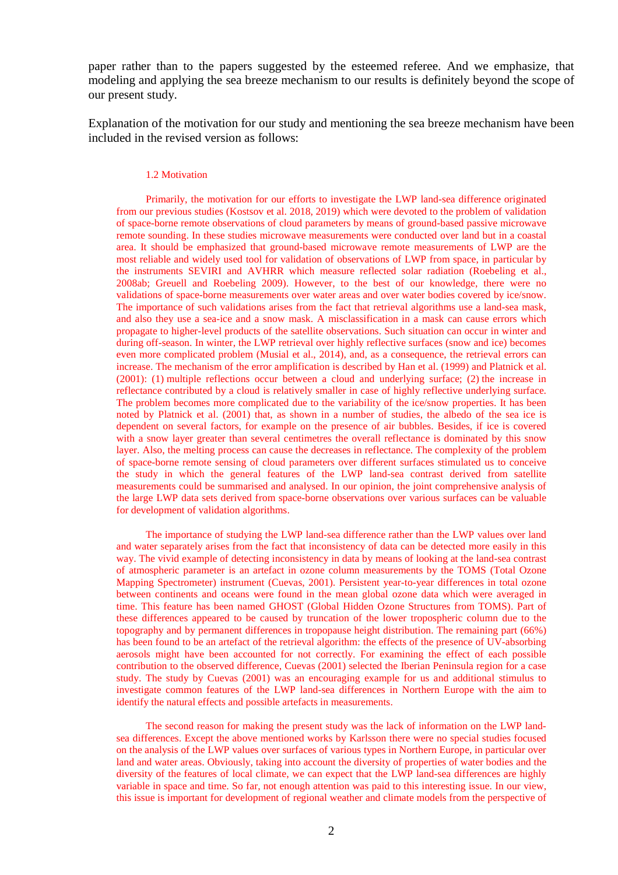paper rather than to the papers suggested by the esteemed referee. And we emphasize, that modeling and applying the sea breeze mechanism to our results is definitely beyond the scope of our present study.

Explanation of the motivation for our study and mentioning the sea breeze mechanism have been included in the revised version as follows:

### 1.2 Motivation

Primarily, the motivation for our efforts to investigate the LWP land-sea difference originated from our previous studies (Kostsov et al. 2018, 2019) which were devoted to the problem of validation of space-borne remote observations of cloud parameters by means of ground-based passive microwave remote sounding. In these studies microwave measurements were conducted over land but in a coastal area. It should be emphasized that ground-based microwave remote measurements of LWP are the most reliable and widely used tool for validation of observations of LWP from space, in particular by the instruments SEVIRI and AVHRR which measure reflected solar radiation (Roebeling et al., 2008ab; Greuell and Roebeling 2009). However, to the best of our knowledge, there were no validations of space-borne measurements over water areas and over water bodies covered by ice/snow. The importance of such validations arises from the fact that retrieval algorithms use a land-sea mask, and also they use a sea-ice and a snow mask. A misclassification in a mask can cause errors which propagate to higher-level products of the satellite observations. Such situation can occur in winter and during off-season. In winter, the LWP retrieval over highly reflective surfaces (snow and ice) becomes even more complicated problem (Musial et al., 2014), and, as a consequence, the retrieval errors can increase. The mechanism of the error amplification is described by Han et al. (1999) and Platnick et al. (2001): (1) multiple reflections occur between a cloud and underlying surface; (2) the increase in reflectance contributed by a cloud is relatively smaller in case of highly reflective underlying surface. The problem becomes more complicated due to the variability of the ice/snow properties. It has been noted by Platnick et al. (2001) that, as shown in a number of studies, the albedo of the sea ice is dependent on several factors, for example on the presence of air bubbles. Besides, if ice is covered with a snow layer greater than several centimetres the overall reflectance is dominated by this snow layer. Also, the melting process can cause the decreases in reflectance. The complexity of the problem of space-borne remote sensing of cloud parameters over different surfaces stimulated us to conceive the study in which the general features of the LWP land-sea contrast derived from satellite measurements could be summarised and analysed. In our opinion, the joint comprehensive analysis of the large LWP data sets derived from space-borne observations over various surfaces can be valuable for development of validation algorithms.

The importance of studying the LWP land-sea difference rather than the LWP values over land and water separately arises from the fact that inconsistency of data can be detected more easily in this way. The vivid example of detecting inconsistency in data by means of looking at the land-sea contrast of atmospheric parameter is an artefact in ozone column measurements by the TOMS (Total Ozone Mapping Spectrometer) instrument (Cuevas, 2001). Persistent year-to-year differences in total ozone between continents and oceans were found in the mean global ozone data which were averaged in time. This feature has been named GHOST (Global Hidden Ozone Structures from TOMS). Part of these differences appeared to be caused by truncation of the lower tropospheric column due to the topography and by permanent differences in tropopause height distribution. The remaining part (66%) has been found to be an artefact of the retrieval algorithm: the effects of the presence of UV-absorbing aerosols might have been accounted for not correctly. For examining the effect of each possible contribution to the observed difference, Cuevas (2001) selected the Iberian Peninsula region for a case study. The study by Cuevas (2001) was an encouraging example for us and additional stimulus to investigate common features of the LWP land-sea differences in Northern Europe with the aim to identify the natural effects and possible artefacts in measurements.

The second reason for making the present study was the lack of information on the LWP landsea differences. Except the above mentioned works by Karlsson there were no special studies focused on the analysis of the LWP values over surfaces of various types in Northern Europe, in particular over land and water areas. Obviously, taking into account the diversity of properties of water bodies and the diversity of the features of local climate, we can expect that the LWP land-sea differences are highly variable in space and time. So far, not enough attention was paid to this interesting issue. In our view, this issue is important for development of regional weather and climate models from the perspective of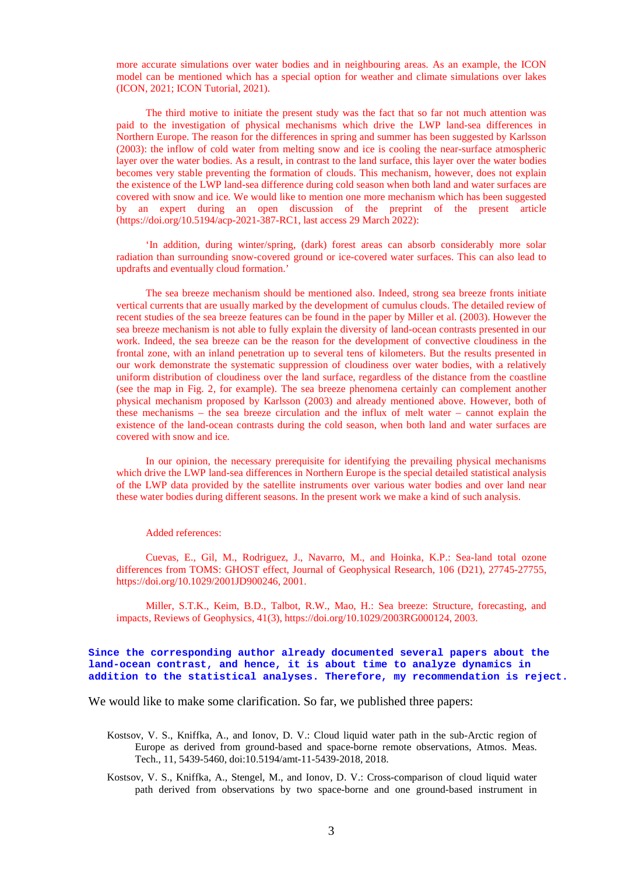more accurate simulations over water bodies and in neighbouring areas. As an example, the ICON model can be mentioned which has a special option for weather and climate simulations over lakes (ICON, 2021; ICON Tutorial, 2021).

The third motive to initiate the present study was the fact that so far not much attention was paid to the investigation of physical mechanisms which drive the LWP land-sea differences in Northern Europe. The reason for the differences in spring and summer has been suggested by Karlsson (2003): the inflow of cold water from melting snow and ice is cooling the near-surface atmospheric layer over the water bodies. As a result, in contrast to the land surface, this layer over the water bodies becomes very stable preventing the formation of clouds. This mechanism, however, does not explain the existence of the LWP land-sea difference during cold season when both land and water surfaces are covered with snow and ice. We would like to mention one more mechanism which has been suggested by an expert during an open discussion of the preprint of the present article (https://doi.org/10.5194/acp-2021-387-RC1, last access 29 March 2022):

'In addition, during winter/spring, (dark) forest areas can absorb considerably more solar radiation than surrounding snow-covered ground or ice-covered water surfaces. This can also lead to updrafts and eventually cloud formation.'

The sea breeze mechanism should be mentioned also. Indeed, strong sea breeze fronts initiate vertical currents that are usually marked by the development of cumulus clouds. The detailed review of recent studies of the sea breeze features can be found in the paper by Miller et al. (2003). However the sea breeze mechanism is not able to fully explain the diversity of land-ocean contrasts presented in our work. Indeed, the sea breeze can be the reason for the development of convective cloudiness in the frontal zone, with an inland penetration up to several tens of kilometers. But the results presented in our work demonstrate the systematic suppression of cloudiness over water bodies, with a relatively uniform distribution of cloudiness over the land surface, regardless of the distance from the coastline (see the map in Fig. 2, for example). The sea breeze phenomena certainly can complement another physical mechanism proposed by Karlsson (2003) and already mentioned above. However, both of these mechanisms – the sea breeze circulation and the influx of melt water – cannot explain the existence of the land-ocean contrasts during the cold season, when both land and water surfaces are covered with snow and ice.

In our opinion, the necessary prerequisite for identifying the prevailing physical mechanisms which drive the LWP land-sea differences in Northern Europe is the special detailed statistical analysis of the LWP data provided by the satellite instruments over various water bodies and over land near these water bodies during different seasons. In the present work we make a kind of such analysis.

#### Added references:

Cuevas, E., Gil, M., Rodriguez, J., Navarro, M., and Hoinka, K.P.: Sea-land total ozone differences from TOMS: GHOST effect, Journal of Geophysical Research, 106 (D21), 27745-27755, https://doi.org/10.1029/2001JD900246, 2001.

Miller, S.T.K., Keim, B.D., Talbot, R.W., Mao, H.: Sea breeze: Structure, forecasting, and impacts, Reviews of Geophysics, 41(3), https://doi.org/10.1029/2003RG000124, 2003.

### **Since the corresponding author already documented several papers about the land-ocean contrast, and hence, it is about time to analyze dynamics in addition to the statistical analyses. Therefore, my recommendation is reject.**

We would like to make some clarification. So far, we published three papers:

- Kostsov, V. S., Kniffka, A., and Ionov, D. V.: Cloud liquid water path in the sub-Arctic region of Europe as derived from ground-based and space-borne remote observations, Atmos. Meas. Tech., 11, 5439-5460, doi:10.5194/amt-11-5439-2018, 2018.
- Kostsov, V. S., Kniffka, A., Stengel, M., and Ionov, D. V.: Cross-comparison of cloud liquid water path derived from observations by two space-borne and one ground-based instrument in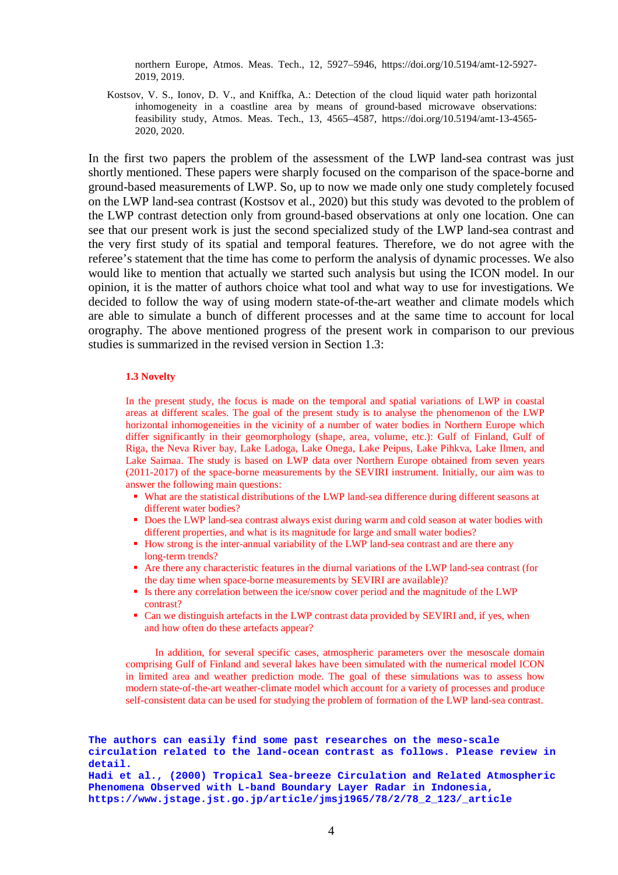northern Europe, Atmos. Meas. Tech., 12, 5927–5946, https://doi.org/10.5194/amt-12-5927- 2019, 2019.

Kostsov, V. S., Ionov, D. V., and Kniffka, A.: Detection of the cloud liquid water path horizontal inhomogeneity in a coastline area by means of ground-based microwave observations: feasibility study, Atmos. Meas. Tech., 13, 4565–4587, https://doi.org/10.5194/amt-13-4565- 2020, 2020.

In the first two papers the problem of the assessment of the LWP land-sea contrast was just shortly mentioned. These papers were sharply focused on the comparison of the space-borne and ground-based measurements of LWP. So, up to now we made only one study completely focused on the LWP land-sea contrast (Kostsov et al., 2020) but this study was devoted to the problem of the LWP contrast detection only from ground-based observations at only one location. One can see that our present work is just the second specialized study of the LWP land-sea contrast and the very first study of its spatial and temporal features. Therefore, we do not agree with the referee's statement that the time has come to perform the analysis of dynamic processes. We also would like to mention that actually we started such analysis but using the ICON model. In our opinion, it is the matter of authors choice what tool and what way to use for investigations. We decided to follow the way of using modern state-of-the-art weather and climate models which are able to simulate a bunch of different processes and at the same time to account for local orography. The above mentioned progress of the present work in comparison to our previous studies is summarized in the revised version in Section 1.3:

## **1.3 Novelty**

In the present study, the focus is made on the temporal and spatial variations of LWP in coastal areas at different scales. The goal of the present study is to analyse the phenomenon of the LWP horizontal inhomogeneities in the vicinity of a number of water bodies in Northern Europe which differ significantly in their geomorphology (shape, area, volume, etc.): Gulf of Finland, Gulf of Riga, the Neva River bay, Lake Ladoga, Lake Onega, Lake Peipus, Lake Pihkva, Lake Ilmen, and Lake Saimaa. The study is based on LWP data over Northern Europe obtained from seven years (2011-2017) of the space-borne measurements by the SEVIRI instrument. Initially, our aim was to answer the following main questions:

- What are the statistical distributions of the LWP land-sea difference during different seasons at different water bodies?
- Does the LWP land-sea contrast always exist during warm and cold season at water bodies with different properties, and what is its magnitude for large and small water bodies?
- How strong is the inter-annual variability of the LWP land-sea contrast and are there any long-term trends?
- Are there any characteristic features in the diurnal variations of the LWP land-sea contrast (for the day time when space-borne measurements by SEVIRI are available)?
- Is there any correlation between the ice/snow cover period and the magnitude of the LWP contrast?
- Can we distinguish artefacts in the LWP contrast data provided by SEVIRI and, if yes, when and how often do these artefacts appear?

In addition, for several specific cases, atmospheric parameters over the mesoscale domain comprising Gulf of Finland and several lakes have been simulated with the numerical model ICON in limited area and weather prediction mode. The goal of these simulations was to assess how modern state-of-the-art weather-climate model which account for a variety of processes and produce self-consistent data can be used for studying the problem of formation of the LWP land-sea contrast.

**The authors can easily find some past researches on the meso-scale circulation related to the land-ocean contrast as follows. Please review in detail. Hadi et al., (2000) Tropical Sea-breeze Circulation and Related Atmospheric Phenomena Observed with L-band Boundary Layer Radar in Indonesia, https://www.jstage.jst.go.jp/article/jmsj1965/78/2/78\_2\_123/\_article**